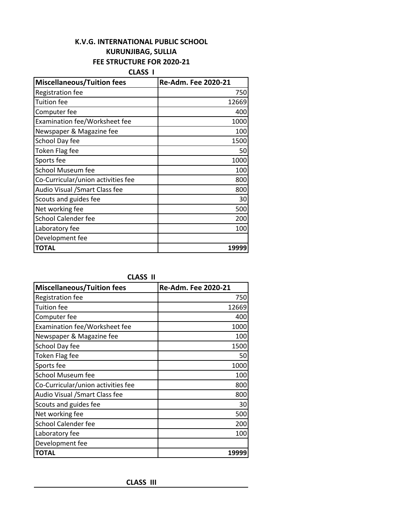# **K.V.G. INTERNATIONAL PUBLIC SCHOOL KURUNJIBAG, SULLIA FEE STRUCTURE FOR 2020-21**

**CLASS I**

| <b>Miscellaneous/Tuition fees</b>  | Re-Adm. Fee 2020-21 |
|------------------------------------|---------------------|
| <b>Registration fee</b>            | 750                 |
| Tuition fee                        | 12669               |
| Computer fee                       | 400                 |
| Examination fee/Worksheet fee      | 1000                |
| Newspaper & Magazine fee           | 100                 |
| School Day fee                     | 1500                |
| Token Flag fee                     | 50                  |
| Sports fee                         | 1000                |
| <b>School Museum fee</b>           | 100                 |
| Co-Curricular/union activities fee | 800                 |
| Audio Visual /Smart Class fee      | 800                 |
| Scouts and guides fee              | 30                  |
| Net working fee                    | 500                 |
| <b>School Calender fee</b>         | 200                 |
| Laboratory fee                     | 100                 |
| Development fee                    |                     |
| <b>TOTAL</b>                       | 19999               |

**CLASS II**

| <b>Miscellaneous/Tuition fees</b>  | Re-Adm. Fee 2020-21 |
|------------------------------------|---------------------|
| Registration fee                   | 750                 |
| <b>Tuition fee</b>                 | 12669               |
| Computer fee                       | 400                 |
| Examination fee/Worksheet fee      | 1000                |
| Newspaper & Magazine fee           | 100                 |
| School Day fee                     | 1500                |
| Token Flag fee                     | 50                  |
| Sports fee                         | 1000                |
| <b>School Museum fee</b>           | 100                 |
| Co-Curricular/union activities fee | 800                 |
| Audio Visual / Smart Class fee     | 800                 |
| Scouts and guides fee              | 30                  |
| Net working fee                    | 500                 |
| <b>School Calender fee</b>         | 200                 |
| Laboratory fee                     | 100                 |
| Development fee                    |                     |
| TOTAL                              | 19999               |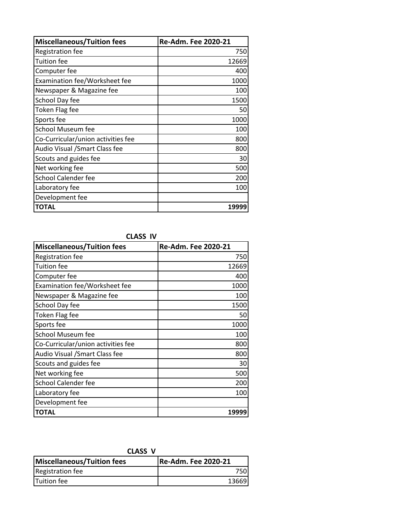| <b>Miscellaneous/Tuition fees</b>  | Re-Adm. Fee 2020-21 |
|------------------------------------|---------------------|
| <b>Registration fee</b>            | 750                 |
| Tuition fee                        | 12669               |
| Computer fee                       | 400                 |
| Examination fee/Worksheet fee      | 1000                |
| Newspaper & Magazine fee           | 100                 |
| School Day fee                     | 1500                |
| <b>Token Flag fee</b>              | 50                  |
| Sports fee                         | 1000                |
| <b>School Museum fee</b>           | 100                 |
| Co-Curricular/union activities fee | 800                 |
| Audio Visual / Smart Class fee     | 800                 |
| Scouts and guides fee              | 30                  |
| Net working fee                    | 500                 |
| <b>School Calender fee</b>         | 200                 |
| Laboratory fee                     | 100                 |
| Development fee                    |                     |
| <b>TOTAL</b>                       | 19999               |

**CLASS IV**

| <b>Miscellaneous/Tuition fees</b>  | Re-Adm. Fee 2020-21 |
|------------------------------------|---------------------|
| <b>Registration fee</b>            | 750                 |
| Tuition fee                        | 12669               |
| Computer fee                       | 400                 |
| Examination fee/Worksheet fee      | 1000                |
| Newspaper & Magazine fee           | 100                 |
| School Day fee                     | 1500                |
| Token Flag fee                     | 50                  |
| Sports fee                         | 1000                |
| <b>School Museum fee</b>           | 100                 |
| Co-Curricular/union activities fee | 800                 |
| Audio Visual /Smart Class fee      | 800                 |
| Scouts and guides fee              | 30                  |
| Net working fee                    | 500                 |
| <b>School Calender fee</b>         | 200                 |
| Laboratory fee                     | 100                 |
| Development fee                    |                     |
| <b>TOTAL</b>                       | 19999               |

**CLASS V**

| Miscellaneous/Tuition fees | Re-Adm. Fee 2020-21 |
|----------------------------|---------------------|
| Registration fee           | 750I                |
| <b>Tuition fee</b>         | 136691              |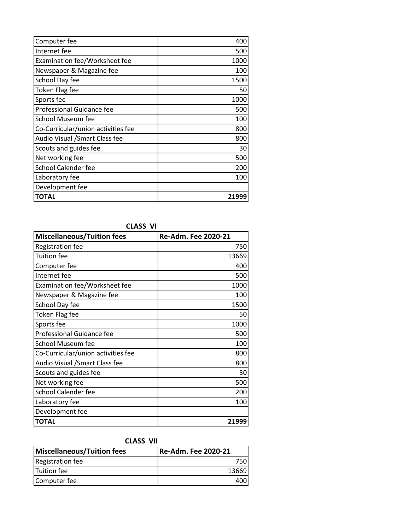| Computer fee                         | 400   |
|--------------------------------------|-------|
| Internet fee                         | 500   |
| <b>Examination fee/Worksheet fee</b> | 1000  |
| Newspaper & Magazine fee             | 100   |
| School Day fee                       | 1500  |
| Token Flag fee                       | 50    |
| Sports fee                           | 1000  |
| Professional Guidance fee            | 500   |
| <b>School Museum fee</b>             | 100   |
| Co-Curricular/union activities fee   | 800   |
| Audio Visual / Smart Class fee       | 800   |
| Scouts and guides fee                | 30    |
| Net working fee                      | 500   |
| <b>School Calender fee</b>           | 200   |
| Laboratory fee                       | 100   |
| Development fee                      |       |
| <b>TOTAL</b>                         | 21999 |

# **CLASS VI**

| <b>Miscellaneous/Tuition fees</b>  | Re-Adm. Fee 2020-21 |
|------------------------------------|---------------------|
| Registration fee                   | 750                 |
| <b>Tuition fee</b>                 | 13669               |
| Computer fee                       | 400                 |
| Internet fee                       | 500                 |
| Examination fee/Worksheet fee      | 1000                |
| Newspaper & Magazine fee           | 100                 |
| School Day fee                     | 1500                |
| <b>Token Flag fee</b>              | 50                  |
| Sports fee                         | 1000                |
| <b>Professional Guidance fee</b>   | 500                 |
| School Museum fee                  | 100                 |
| Co-Curricular/union activities fee | 800                 |
| Audio Visual / Smart Class fee     | 800                 |
| Scouts and guides fee              | 30                  |
| Net working fee                    | 500                 |
| <b>School Calender fee</b>         | 200                 |
| Laboratory fee                     | 100                 |
| Development fee                    |                     |
| <b>TOTAL</b>                       | 21999               |

# **CLASS VII**

| LLAJJ VII                         |                     |
|-----------------------------------|---------------------|
| <b>Miscellaneous/Tuition fees</b> | Re-Adm. Fee 2020-21 |
| <b>Registration fee</b>           |                     |
| Tuition fee                       | 13669               |
| Computer fee                      |                     |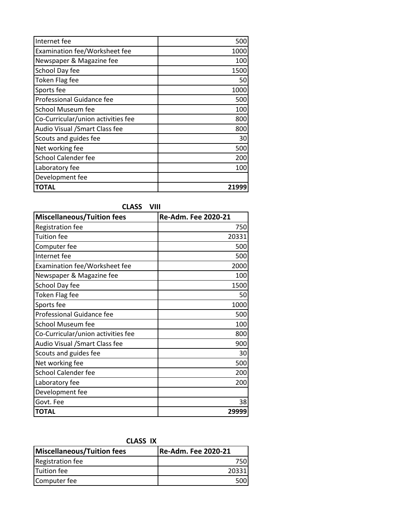| Internet fee                       | 500   |
|------------------------------------|-------|
| Examination fee/Worksheet fee      | 1000  |
| Newspaper & Magazine fee           | 100   |
| School Day fee                     | 1500  |
| <b>Token Flag fee</b>              | 50    |
| Sports fee                         | 1000  |
| Professional Guidance fee          | 500   |
| School Museum fee                  | 100   |
| Co-Curricular/union activities fee | 800   |
| Audio Visual / Smart Class fee     | 800   |
| Scouts and guides fee              | 30    |
| Net working fee                    | 500   |
| School Calender fee                | 200   |
| Laboratory fee                     | 100   |
| Development fee                    |       |
| <b>TOTAL</b>                       | 21999 |

### **CLASS VIII**

| <b>Miscellaneous/Tuition fees</b>  | Re-Adm. Fee 2020-21 |
|------------------------------------|---------------------|
| <b>Registration fee</b>            | 750                 |
| <b>Tuition</b> fee                 | 20331               |
| Computer fee                       | 500                 |
| Internet fee                       | 500                 |
| Examination fee/Worksheet fee      | 2000                |
| Newspaper & Magazine fee           | 100                 |
| School Day fee                     | 1500                |
| <b>Token Flag fee</b>              | 50                  |
| Sports fee                         | 1000                |
| <b>Professional Guidance fee</b>   | 500                 |
| School Museum fee                  | 100                 |
| Co-Curricular/union activities fee | 800                 |
| Audio Visual / Smart Class fee     | 900                 |
| Scouts and guides fee              | 30                  |
| Net working fee                    | 500                 |
| School Calender fee                | 200                 |
| Laboratory fee                     | 200                 |
| Development fee                    |                     |
| Govt. Fee                          | 38                  |
| <b>TOTAL</b>                       | 29999               |

| -------                           |                      |
|-----------------------------------|----------------------|
| <b>Miscellaneous/Tuition fees</b> | Re-Adm. Fee 2020-21! |
| <b>Registration fee</b>           |                      |
| Tuition fee                       | 20331                |
| Computer fee                      |                      |